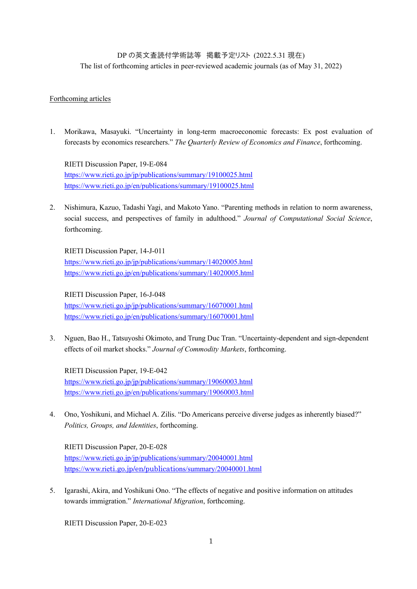## DP の英文査読付学術誌等 掲載予定リスト (2022.5.31 現在)

The list of forthcoming articles in peer-reviewed academic journals (as of May 31, 2022)

## Forthcoming articles

1. Morikawa, Masayuki. "Uncertainty in long-term macroeconomic forecasts: Ex post evaluation of forecasts by economics researchers." *The Quarterly Review of Economics and Finance*, forthcoming.

RIETI Discussion Paper, 19-E-084 <https://www.rieti.go.jp/jp/publications/summary/19100025.html> [https://www.rieti.go.jp/en/publications/summary/19100025.html](https://www.rieti.go.jp/jp/publications/summary/19100025.html)

2. Nishimura, Kazuo, Tadashi Yagi, and Makoto Yano. "Parenting methods in relation to norm awareness, social success, and perspectives of family in adulthood." *Journal of Computational Social Science*, forthcoming.

RIETI Discussion Paper, 14-J-011 <https://www.rieti.go.jp/jp/publications/summary/14020005.html> <https://www.rieti.go.jp/en/publications/summary/14020005.html>

RIETI Discussion Paper, 16-J-048 <https://www.rieti.go.jp/jp/publications/summary/16070001.html> <https://www.rieti.go.jp/en/publications/summary/16070001.html>

3. Nguen, Bao H., Tatsuyoshi Okimoto, and Trung Duc Tran. "Uncertainty-dependent and sign-dependent effects of oil market shocks." *Journal of Commodity Markets*, forthcoming.

RIETI Discussion Paper, 19-E-042 <https://www.rieti.go.jp/jp/publications/summary/19060003.html> <https://www.rieti.go.jp/en/publications/summary/19060003.html>

4. Ono, Yoshikuni, and Michael A. Zilis. "Do Americans perceive diverse judges as inherently biased?" *Politics, Groups, and Identities*, forthcoming.

RIETI Discussion Paper, 20-E-028 <https://www.rieti.go.jp/jp/publications/summary/20040001.html> https://www.rieti.go.jp/en/publicatio[ns/summary/20040001.html](https://www.rieti.go.jp/en/publications/summary/20040001.html)

5. Igarashi, Akira, and Yoshikuni Ono. "The effects of negative and positive information on attitudes towards immigration." *International Migration*, forthcoming.

RIETI Discussion Paper, 20-E-023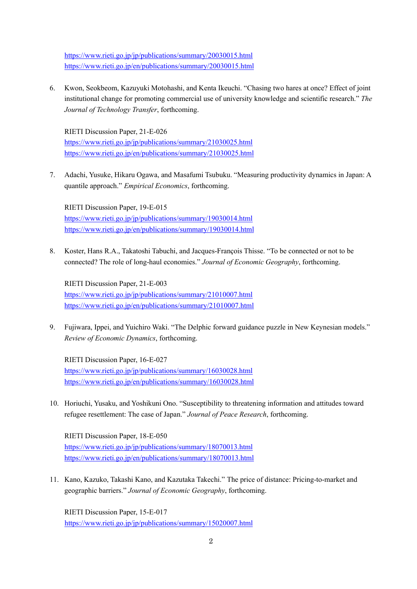<https://www.rieti.go.jp/jp/publications/summary/20030015.html> <https://www.rieti.go.jp/en/publications/summary/20030015.html>

6. Kwon, Seokbeom, Kazuyuki Motohashi, and Kenta Ikeuchi. "Chasing two hares at once? Effect of joint institutional change for promoting commercial use of university knowledge and scientific research." *The Journal of Technology Transfer*, forthcoming.

RIETI Discussion Paper, 21-E-026 [https://www.rieti.go.jp/jp/publications/summary/21030025.html](https://www.rieti.go.jp/jp/publications/summary/20120005.html) <https://www.rieti.go.jp/en/publications/summary/21030025.html>

7. Adachi, Yusuke, Hikaru Ogawa, and Masafumi Tsubuku. "Measuring productivity dynamics in Japan: A quantile approach." *Empirical Economics*, forthcoming.

RIETI Discussion Paper, 19-E-015 <https://www.rieti.go.jp/jp/publications/summary/19030014.html> <https://www.rieti.go.jp/en/publications/summary/19030014.html>

8. Koster, Hans R.A., Takatoshi Tabuchi, and Jacques-François Thisse. "To be connected or not to be connected? The role of long-haul economies." *Journal of Economic Geography*, forthcoming.

RIETI Discussion Paper, 21-E-003 <https://www.rieti.go.jp/jp/publications/summary/21010007.html> <https://www.rieti.go.jp/en/publications/summary/21010007.html>

9. Fujiwara, Ippei, and Yuichiro Waki. "The Delphic forward guidance puzzle in New Keynesian models." *Review of Economic Dynamics*, forthcoming.

RIETI Discussion Paper, 16-E-027 <https://www.rieti.go.jp/jp/publications/summary/16030028.html> <https://www.rieti.go.jp/en/publications/summary/16030028.html>

10. Horiuchi, Yusaku, and Yoshikuni Ono. "Susceptibility to threatening information and attitudes toward refugee resettlement: The case of Japan." *Journal of Peace Research*, forthcoming.

RIETI Discussion Paper, 18-E-050 <https://www.rieti.go.jp/jp/publications/summary/18070013.html> <https://www.rieti.go.jp/en/publications/summary/18070013.html>

11. Kano, Kazuko, Takashi Kano, and Kazutaka Takechi." The price of distance: Pricing-to-market and geographic barriers." *Journal of Economic Geography*, forthcoming.

RIETI Discussion Paper, 15-E-017 <https://www.rieti.go.jp/jp/publications/summary/15020007.html>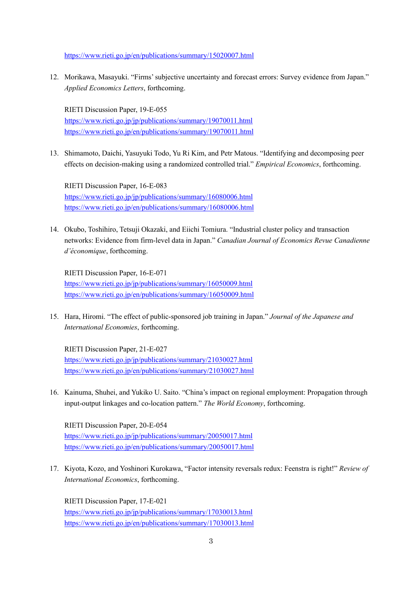<https://www.rieti.go.jp/en/publications/summary/15020007.html>

12. Morikawa, Masayuki. "Firms' subjective uncertainty and forecast errors: Survey evidence from Japan." *Applied Economics Letters*, forthcoming.

RIETI Discussion Paper, 19-E-055 <https://www.rieti.go.jp/jp/publications/summary/19070011.html> <https://www.rieti.go.jp/en/publications/summary/19070011.html>

13. Shimamoto, Daichi, Yasuyuki Todo, Yu Ri Kim, and Petr Matous. "Identifying and decomposing peer effects on decision-making using a randomized controlled trial." *Empirical Economics*, forthcoming.

RIETI Discussion Paper, 16-E-083 <https://www.rieti.go.jp/jp/publications/summary/16080006.html> <https://www.rieti.go.jp/en/publications/summary/16080006.html>

14. Okubo, Toshihiro, Tetsuji Okazaki, and Eiichi Tomiura. "Industrial cluster policy and transaction networks: Evidence from firm-level data in Japan." *Canadian Journal of Economics Revue Canadienne d'économique*, forthcoming.

RIETI Discussion Paper, 16-E-071 <https://www.rieti.go.jp/jp/publications/summary/16050009.html> <https://www.rieti.go.jp/en/publications/summary/16050009.html>

15. Hara, Hiromi. "The effect of public-sponsored job training in Japan." *Journal of the Japanese and International Economies*, forthcoming.

RIETI Discussion Paper, 21-E-027 <https://www.rieti.go.jp/jp/publications/summary/21030027.html> <https://www.rieti.go.jp/en/publications/summary/21030027.html>

16. Kainuma, Shuhei, and Yukiko U. Saito. "China's impact on regional employment: Propagation through input-output linkages and co-location pattern." *The World Economy*, forthcoming.

RIETI Discussion Paper, 20-E-054 <https://www.rieti.go.jp/jp/publications/summary/20050017.html> <https://www.rieti.go.jp/en/publications/summary/20050017.html>

17. Kiyota, Kozo, and Yoshinori Kurokawa, "Factor intensity reversals redux: Feenstra is right!" *Review of International Economics*, forthcoming.

RIETI Discussion Paper, 17-E-021 <https://www.rieti.go.jp/jp/publications/summary/17030013.html> <https://www.rieti.go.jp/en/publications/summary/17030013.html>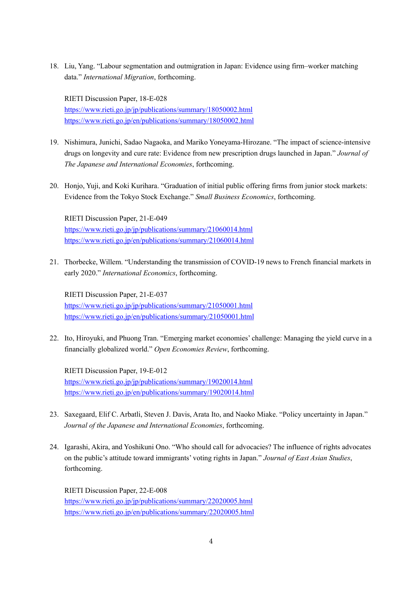18. Liu, Yang. "Labour segmentation and outmigration in Japan: Evidence using firm–worker matching data." *International Migration*, forthcoming.

RIETI Discussion Paper, 18-E-028 <https://www.rieti.go.jp/jp/publications/summary/18050002.html> <https://www.rieti.go.jp/en/publications/summary/18050002.html>

- 19. Nishimura, Junichi, Sadao Nagaoka, and Mariko Yoneyama-Hirozane. "The impact of science-intensive drugs on longevity and cure rate: Evidence from new prescription drugs launched in Japan." *Journal of The Japanese and International Economies*, forthcoming.
- 20. Honjo, Yuji, and Koki Kurihara. "Graduation of initial public offering firms from junior stock markets: Evidence from the Tokyo Stock Exchange." *Small Business Economics*, forthcoming.

RIETI Discussion Paper, 21-E-049 <https://www.rieti.go.jp/jp/publications/summary/21060014.html> <https://www.rieti.go.jp/en/publications/summary/21060014.html>

21. Thorbecke, Willem. "Understanding the transmission of COVID-19 news to French financial markets in early 2020." *International Economics*, forthcoming.

RIETI Discussion Paper, 21-E-037 <https://www.rieti.go.jp/jp/publications/summary/21050001.html> <https://www.rieti.go.jp/en/publications/summary/21050001.html>

22. Ito, Hiroyuki, and Phuong Tran. "Emerging market economies' challenge: Managing the yield curve in a financially globalized world." *Open Economies Review*, forthcoming.

RIETI Discussion Paper, 19-E-012 <https://www.rieti.go.jp/jp/publications/summary/19020014.html> <https://www.rieti.go.jp/en/publications/summary/19020014.html>

- 23. Saxegaard, Elif C. Arbatli, Steven J. Davis, Arata Ito, and Naoko Miake. "Policy uncertainty in Japan." *Journal of the Japanese and International Economies*, forthcoming.
- 24. Igarashi, Akira, and Yoshikuni Ono. "Who should call for advocacies? The influence of rights advocates on the public's attitude toward immigrants' voting rights in Japan." *Journal of East Asian Studies*, forthcoming.

RIETI Discussion Paper, 22-E-008 <https://www.rieti.go.jp/jp/publications/summary/22020005.html> <https://www.rieti.go.jp/en/publications/summary/22020005.html>